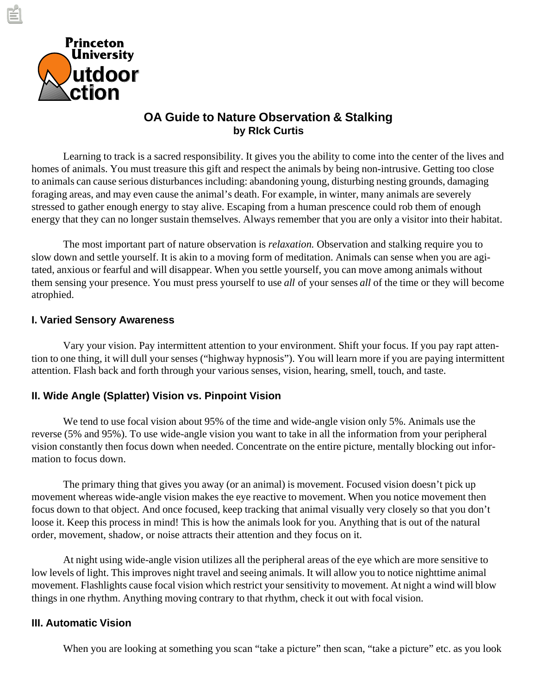

# **OA Guide to Nature Observation & Stalking by RIck Curtis**

Learning to track is a sacred responsibility. It gives you the ability to come into the center of the lives and homes of animals. You must treasure this gift and respect the animals by being non-intrusive. Getting too close to animals can cause serious disturbances including: abandoning young, disturbing nesting grounds, damaging foraging areas, and may even cause the animal's death. For example, in winter, many animals are severely stressed to gather enough energy to stay alive. Escaping from a human prescence could rob them of enough energy that they can no longer sustain themselves. Always remember that you are only a visitor into their habitat.

The most important part of nature observation is *relaxation.* Observation and stalking require you to slow down and settle yourself. It is akin to a moving form of meditation. Animals can sense when you are agitated, anxious or fearful and will disappear. When you settle yourself, you can move among animals without them sensing your presence. You must press yourself to use *all* of your senses *all* of the time or they will become atrophied.

#### **I. Varied Sensory Awareness**

Vary your vision. Pay intermittent attention to your environment. Shift your focus. If you pay rapt attention to one thing, it will dull your senses ("highway hypnosis"). You will learn more if you are paying intermittent attention. Flash back and forth through your various senses, vision, hearing, smell, touch, and taste.

### **II. Wide Angle (Splatter) Vision vs. Pinpoint Vision**

We tend to use focal vision about 95% of the time and wide-angle vision only 5%. Animals use the reverse (5% and 95%). To use wide-angle vision you want to take in all the information from your peripheral vision constantly then focus down when needed. Concentrate on the entire picture, mentally blocking out information to focus down.

The primary thing that gives you away (or an animal) is movement. Focused vision doesn't pick up movement whereas wide-angle vision makes the eye reactive to movement. When you notice movement then focus down to that object. And once focused, keep tracking that animal visually very closely so that you don't loose it. Keep this process in mind! This is how the animals look for you. Anything that is out of the natural order, movement, shadow, or noise attracts their attention and they focus on it.

At night using wide-angle vision utilizes all the peripheral areas of the eye which are more sensitive to low levels of light. This improves night travel and seeing animals. It will allow you to notice nighttime animal movement. Flashlights cause focal vision which restrict your sensitivity to movement. At night a wind will blow things in one rhythm. Anything moving contrary to that rhythm, check it out with focal vision.

#### **III. Automatic Vision**

When you are looking at something you scan "take a picture" then scan, "take a picture" etc. as you look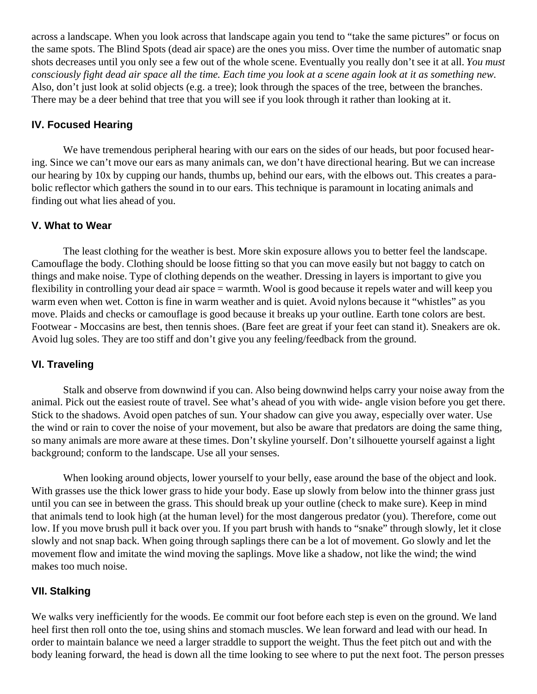across a landscape. When you look across that landscape again you tend to "take the same pictures" or focus on the same spots. The Blind Spots (dead air space) are the ones you miss. Over time the number of automatic snap shots decreases until you only see a few out of the whole scene. Eventually you really don't see it at all. *You must consciously fight dead air space all the time. Each time you look at a scene again look at it as something new.* Also, don't just look at solid objects (e.g. a tree); look through the spaces of the tree, between the branches. There may be a deer behind that tree that you will see if you look through it rather than looking at it.

#### **IV. Focused Hearing**

We have tremendous peripheral hearing with our ears on the sides of our heads, but poor focused hearing. Since we can't move our ears as many animals can, we don't have directional hearing. But we can increase our hearing by 10x by cupping our hands, thumbs up, behind our ears, with the elbows out. This creates a parabolic reflector which gathers the sound in to our ears. This technique is paramount in locating animals and finding out what lies ahead of you.

#### **V. What to Wear**

The least clothing for the weather is best. More skin exposure allows you to better feel the landscape. Camouflage the body. Clothing should be loose fitting so that you can move easily but not baggy to catch on things and make noise. Type of clothing depends on the weather. Dressing in layers is important to give you flexibility in controlling your dead air space = warmth. Wool is good because it repels water and will keep you warm even when wet. Cotton is fine in warm weather and is quiet. Avoid nylons because it "whistles" as you move. Plaids and checks or camouflage is good because it breaks up your outline. Earth tone colors are best. Footwear - Moccasins are best, then tennis shoes. (Bare feet are great if your feet can stand it). Sneakers are ok. Avoid lug soles. They are too stiff and don't give you any feeling/feedback from the ground.

#### **VI. Traveling**

Stalk and observe from downwind if you can. Also being downwind helps carry your noise away from the animal. Pick out the easiest route of travel. See what's ahead of you with wide- angle vision before you get there. Stick to the shadows. Avoid open patches of sun. Your shadow can give you away, especially over water. Use the wind or rain to cover the noise of your movement, but also be aware that predators are doing the same thing, so many animals are more aware at these times. Don't skyline yourself. Don't silhouette yourself against a light background; conform to the landscape. Use all your senses.

When looking around objects, lower yourself to your belly, ease around the base of the object and look. With grasses use the thick lower grass to hide your body. Ease up slowly from below into the thinner grass just until you can see in between the grass. This should break up your outline (check to make sure). Keep in mind that animals tend to look high (at the human level) for the most dangerous predator (you). Therefore, come out low. If you move brush pull it back over you. If you part brush with hands to "snake" through slowly, let it close slowly and not snap back. When going through saplings there can be a lot of movement. Go slowly and let the movement flow and imitate the wind moving the saplings. Move like a shadow, not like the wind; the wind makes too much noise.

#### **VII. Stalking**

We walks very inefficiently for the woods. Ee commit our foot before each step is even on the ground. We land heel first then roll onto the toe, using shins and stomach muscles. We lean forward and lead with our head. In order to maintain balance we need a larger straddle to support the weight. Thus the feet pitch out and with the body leaning forward, the head is down all the time looking to see where to put the next foot. The person presses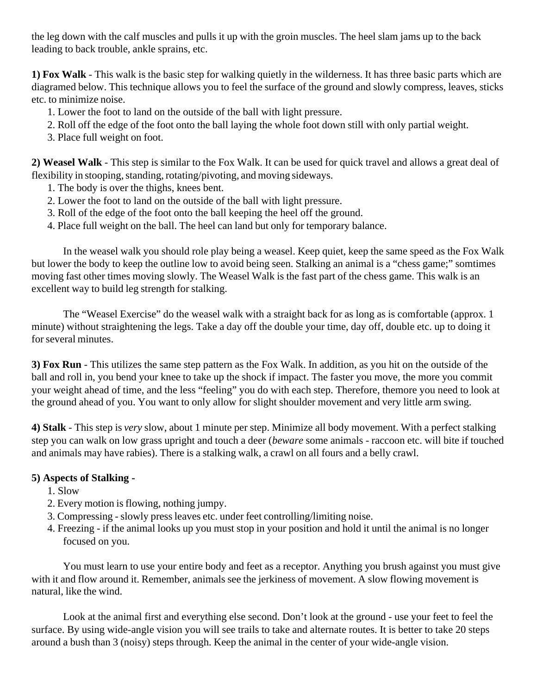the leg down with the calf muscles and pulls it up with the groin muscles. The heel slam jams up to the back leading to back trouble, ankle sprains, etc.

**1) Fox Walk** - This walk is the basic step for walking quietly in the wilderness. It has three basic parts which are diagramed below. This technique allows you to feel the surface of the ground and slowly compress, leaves, sticks etc. to minimize noise.

- 1. Lower the foot to land on the outside of the ball with light pressure.
- 2. Roll off the edge of the foot onto the ball laying the whole foot down still with only partial weight.
- 3. Place full weight on foot.

**2) Weasel Walk** - This step is similar to the Fox Walk. It can be used for quick travel and allows a great deal of flexibility in stooping, standing, rotating/pivoting, and moving sideways.

- 1. The body is over the thighs, knees bent.
- 2. Lower the foot to land on the outside of the ball with light pressure.
- 3. Roll of the edge of the foot onto the ball keeping the heel off the ground.
- 4. Place full weight on the ball. The heel can land but only for temporary balance.

In the weasel walk you should role play being a weasel. Keep quiet, keep the same speed as the Fox Walk but lower the body to keep the outline low to avoid being seen. Stalking an animal is a "chess game;" somtimes moving fast other times moving slowly. The Weasel Walk is the fast part of the chess game. This walk is an excellent way to build leg strength for stalking.

The "Weasel Exercise" do the weasel walk with a straight back for as long as is comfortable (approx. 1 minute) without straightening the legs. Take a day off the double your time, day off, double etc. up to doing it for several minutes.

**3) Fox Run** - This utilizes the same step pattern as the Fox Walk. In addition, as you hit on the outside of the ball and roll in, you bend your knee to take up the shock if impact. The faster you move, the more you commit your weight ahead of time, and the less "feeling" you do with each step. Therefore, themore you need to look at the ground ahead of you. You want to only allow for slight shoulder movement and very little arm swing.

**4) Stalk** - This step is *very* slow, about 1 minute per step. Minimize all body movement. With a perfect stalking step you can walk on low grass upright and touch a deer (*beware* some animals - raccoon etc. will bite if touched and animals may have rabies). There is a stalking walk, a crawl on all fours and a belly crawl.

#### **5) Aspects of Stalking -**

- 1. Slow
- 2. Every motion is flowing, nothing jumpy.
- 3. Compressing slowly press leaves etc. under feet controlling/limiting noise.
- 4. Freezing if the animal looks up you must stop in your position and hold it until the animal is no longer focused on you.

You must learn to use your entire body and feet as a receptor. Anything you brush against you must give with it and flow around it. Remember, animals see the jerkiness of movement. A slow flowing movement is natural, like the wind.

Look at the animal first and everything else second. Don't look at the ground - use your feet to feel the surface. By using wide-angle vision you will see trails to take and alternate routes. It is better to take 20 steps around a bush than 3 (noisy) steps through. Keep the animal in the center of your wide-angle vision.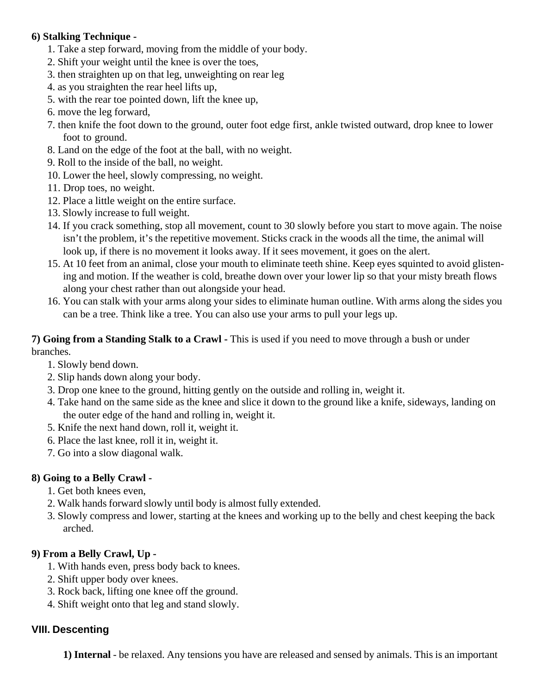#### **6) Stalking Technique -**

- 1. Take a step forward, moving from the middle of your body.
- 2. Shift your weight until the knee is over the toes,
- 3. then straighten up on that leg, unweighting on rear leg
- 4. as you straighten the rear heel lifts up,
- 5. with the rear toe pointed down, lift the knee up,
- 6. move the leg forward,
- 7. then knife the foot down to the ground, outer foot edge first, ankle twisted outward, drop knee to lower foot to ground.
- 8. Land on the edge of the foot at the ball, with no weight.
- 9. Roll to the inside of the ball, no weight.
- 10. Lower the heel, slowly compressing, no weight.
- 11. Drop toes, no weight.
- 12. Place a little weight on the entire surface.
- 13. Slowly increase to full weight.
- 14. If you crack something, stop all movement, count to 30 slowly before you start to move again. The noise isn't the problem, it's the repetitive movement. Sticks crack in the woods all the time, the animal will look up, if there is no movement it looks away. If it sees movement, it goes on the alert.
- 15. At 10 feet from an animal, close your mouth to eliminate teeth shine. Keep eyes squinted to avoid glistening and motion. If the weather is cold, breathe down over your lower lip so that your misty breath flows along your chest rather than out alongside your head.
- 16. You can stalk with your arms along your sides to eliminate human outline. With arms along the sides you can be a tree. Think like a tree. You can also use your arms to pull your legs up.

#### **7) Going from a Standing Stalk to a Crawl -** This is used if you need to move through a bush or under branches.

- 1. Slowly bend down.
- 2. Slip hands down along your body.
- 3. Drop one knee to the ground, hitting gently on the outside and rolling in, weight it.
- 4. Take hand on the same side as the knee and slice it down to the ground like a knife, sideways, landing on the outer edge of the hand and rolling in, weight it.
- 5. Knife the next hand down, roll it, weight it.
- 6. Place the last knee, roll it in, weight it.
- 7. Go into a slow diagonal walk.

### **8) Going to a Belly Crawl -**

- 1. Get both knees even,
- 2. Walk hands forward slowly until body is almost fully extended.
- 3. Slowly compress and lower, starting at the knees and working up to the belly and chest keeping the back arched.

### **9) From a Belly Crawl, Up -**

- 1. With hands even, press body back to knees.
- 2. Shift upper body over knees.
- 3. Rock back, lifting one knee off the ground.
- 4. Shift weight onto that leg and stand slowly.

### **VIII. Descenting**

**1) Internal** - be relaxed. Any tensions you have are released and sensed by animals. This is an important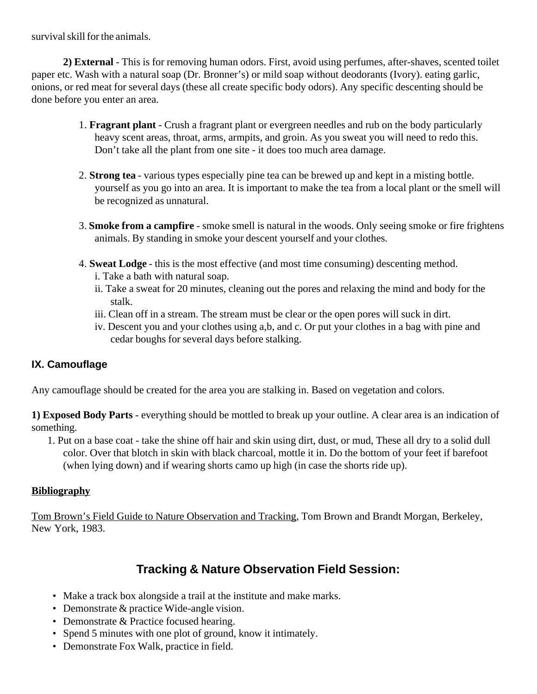survival skill for the animals.

**2) External** - This is for removing human odors. First, avoid using perfumes, after-shaves, scented toilet paper etc. Wash with a natural soap (Dr. Bronner's) or mild soap without deodorants (Ivory). eating garlic, onions, or red meat for several days (these all create specific body odors). Any specific descenting should be done before you enter an area.

- 1. **Fragrant plant** Crush a fragrant plant or evergreen needles and rub on the body particularly heavy scent areas, throat, arms, armpits, and groin. As you sweat you will need to redo this. Don't take all the plant from one site - it does too much area damage.
- 2. **Strong tea** various types especially pine tea can be brewed up and kept in a misting bottle. yourself as you go into an area. It is important to make the tea from a local plant or the smell will be recognized as unnatural.
- 3. **Smoke from a campfire** smoke smell is natural in the woods. Only seeing smoke or fire frightens animals. By standing in smoke your descent yourself and your clothes.
- 4. **Sweat Lodge** this is the most effective (and most time consuming) descenting method.
	- i. Take a bath with natural soap.
	- ii. Take a sweat for 20 minutes, cleaning out the pores and relaxing the mind and body for the stalk.
	- iii. Clean off in a stream. The stream must be clear or the open pores will suck in dirt.
	- iv. Descent you and your clothes using a,b, and c. Or put your clothes in a bag with pine and cedar boughs for several days before stalking.

## **IX. Camouflage**

Any camouflage should be created for the area you are stalking in. Based on vegetation and colors.

**1) Exposed Body Parts** - everything should be mottled to break up your outline. A clear area is an indication of something.

1. Put on a base coat - take the shine off hair and skin using dirt, dust, or mud, These all dry to a solid dull color. Over that blotch in skin with black charcoal, mottle it in. Do the bottom of your feet if barefoot (when lying down) and if wearing shorts camo up high (in case the shorts ride up).

### **Bibliography**

Tom Brown's Field Guide to Nature Observation and Tracking, Tom Brown and Brandt Morgan, Berkeley, New York, 1983.

# **Tracking & Nature Observation Field Session:**

- Make a track box alongside a trail at the institute and make marks.
- Demonstrate & practice Wide-angle vision.
- Demonstrate & Practice focused hearing.
- Spend 5 minutes with one plot of ground, know it intimately.
- Demonstrate Fox Walk, practice in field.